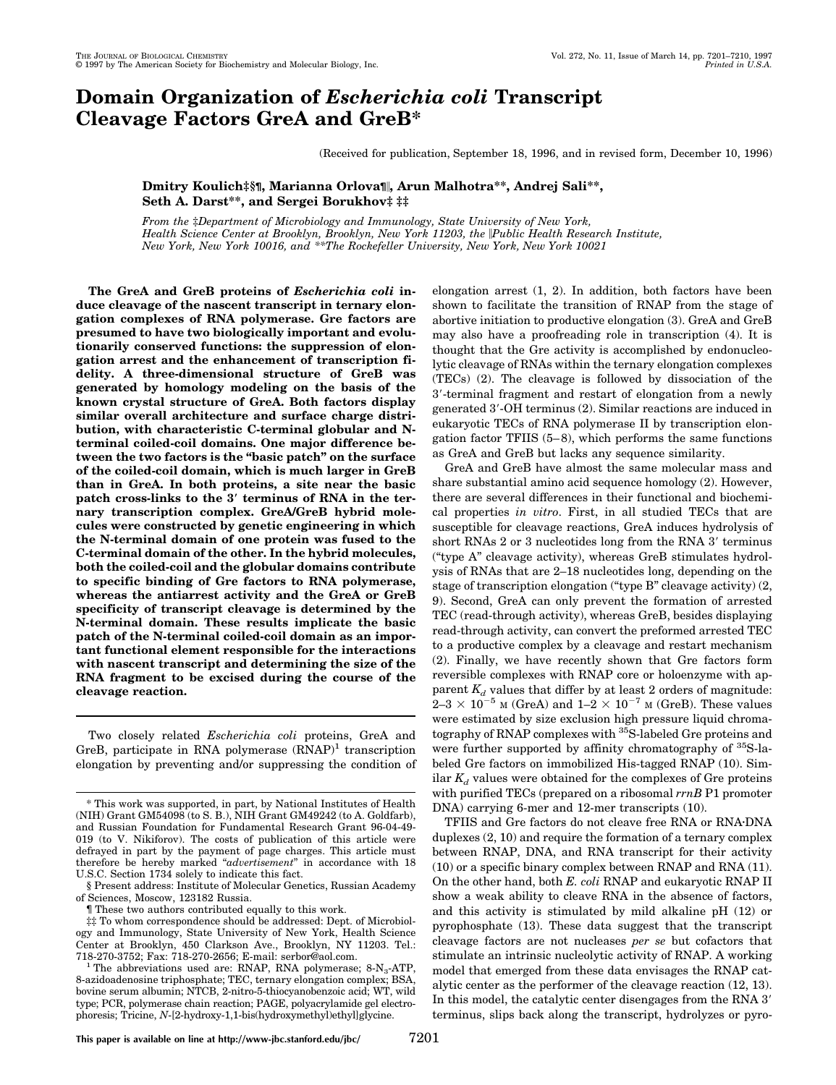# **Domain Organization of** *Escherichia coli* **Transcript Cleavage Factors GreA and GreB\***

(Received for publication, September 18, 1996, and in revised form, December 10, 1996)

**Dmitry Koulich‡§¶, Marianna Orlova¶**i**, Arun Malhotra\*\*, Andrej Sali\*\*, Seth A. Darst\*\*, and Sergei Borukhov‡ ‡‡**

*From the* ‡*Department of Microbiology and Immunology, State University of New York, Health Science Center at Brooklyn, Brooklyn, New York 11203, the* i*Public Health Research Institute, New York, New York 10016, and \*\*The Rockefeller University, New York, New York 10021*

**The GreA and GreB proteins of** *Escherichia coli* **induce cleavage of the nascent transcript in ternary elongation complexes of RNA polymerase. Gre factors are presumed to have two biologically important and evolutionarily conserved functions: the suppression of elongation arrest and the enhancement of transcription fidelity. A three-dimensional structure of GreB was generated by homology modeling on the basis of the known crystal structure of GreA. Both factors display similar overall architecture and surface charge distribution, with characteristic C-terminal globular and Nterminal coiled-coil domains. One major difference between the two factors is the "basic patch" on the surface of the coiled-coil domain, which is much larger in GreB than in GreA. In both proteins, a site near the basic patch cross-links to the 3**\* **terminus of RNA in the ternary transcription complex. GreA/GreB hybrid molecules were constructed by genetic engineering in which the N-terminal domain of one protein was fused to the C-terminal domain of the other. In the hybrid molecules, both the coiled-coil and the globular domains contribute to specific binding of Gre factors to RNA polymerase, whereas the antiarrest activity and the GreA or GreB specificity of transcript cleavage is determined by the N-terminal domain. These results implicate the basic patch of the N-terminal coiled-coil domain as an important functional element responsible for the interactions with nascent transcript and determining the size of the RNA fragment to be excised during the course of the cleavage reaction.**

Two closely related *Escherichia coli* proteins, GreA and GreB, participate in RNA polymerase  $(RNAP)^1$  transcription elongation by preventing and/or suppressing the condition of elongation arrest (1, 2). In addition, both factors have been shown to facilitate the transition of RNAP from the stage of abortive initiation to productive elongation (3). GreA and GreB may also have a proofreading role in transcription (4). It is thought that the Gre activity is accomplished by endonucleolytic cleavage of RNAs within the ternary elongation complexes (TECs) (2). The cleavage is followed by dissociation of the 3'-terminal fragment and restart of elongation from a newly generated 3'-OH terminus (2). Similar reactions are induced in eukaryotic TECs of RNA polymerase II by transcription elongation factor TFIIS  $(5-8)$ , which performs the same functions as GreA and GreB but lacks any sequence similarity.

GreA and GreB have almost the same molecular mass and share substantial amino acid sequence homology (2). However, there are several differences in their functional and biochemical properties *in vitro*. First, in all studied TECs that are susceptible for cleavage reactions, GreA induces hydrolysis of short RNAs 2 or 3 nucleotides long from the RNA 3' terminus ("type A" cleavage activity), whereas GreB stimulates hydrolysis of RNAs that are 2–18 nucleotides long, depending on the stage of transcription elongation ("type B" cleavage activity) (2, 9). Second, GreA can only prevent the formation of arrested TEC (read-through activity), whereas GreB, besides displaying read-through activity, can convert the preformed arrested TEC to a productive complex by a cleavage and restart mechanism (2). Finally, we have recently shown that Gre factors form reversible complexes with RNAP core or holoenzyme with apparent  $K_d$  values that differ by at least 2 orders of magnitude:  $2-3 \times 10^{-5}$  M (GreA) and  $1-2 \times 10^{-7}$  M (GreB). These values were estimated by size exclusion high pressure liquid chromatography of RNAP complexes with <sup>35</sup>S-labeled Gre proteins and were further supported by affinity chromatography of <sup>35</sup>S-labeled Gre factors on immobilized His-tagged RNAP (10). Similar  $K_d$  values were obtained for the complexes of Gre proteins with purified TECs (prepared on a ribosomal *rrnB* P1 promoter DNA) carrying 6-mer and 12-mer transcripts (10).

TFIIS and Gre factors do not cleave free RNA or RNA·DNA duplexes (2, 10) and require the formation of a ternary complex between RNAP, DNA, and RNA transcript for their activity (10) or a specific binary complex between RNAP and RNA (11). On the other hand, both *E. coli* RNAP and eukaryotic RNAP II show a weak ability to cleave RNA in the absence of factors, and this activity is stimulated by mild alkaline pH (12) or pyrophosphate (13). These data suggest that the transcript cleavage factors are not nucleases *per se* but cofactors that stimulate an intrinsic nucleolytic activity of RNAP. A working model that emerged from these data envisages the RNAP catalytic center as the performer of the cleavage reaction (12, 13). In this model, the catalytic center disengages from the RNA 3' terminus, slips back along the transcript, hydrolyzes or pyro-

<sup>\*</sup> This work was supported, in part, by National Institutes of Health (NIH) Grant GM54098 (to S. B.), NIH Grant GM49242 (to A. Goldfarb), and Russian Foundation for Fundamental Research Grant 96-04-49- 019 (to V. Nikiforov). The costs of publication of this article were defrayed in part by the payment of page charges. This article must therefore be hereby marked "*advertisement*" in accordance with 18 U.S.C. Section 1734 solely to indicate this fact.

<sup>§</sup> Present address: Institute of Molecular Genetics, Russian Academy of Sciences, Moscow, 123182 Russia.

<sup>¶</sup> These two authors contributed equally to this work.

<sup>‡‡</sup> To whom correspondence should be addressed: Dept. of Microbiology and Immunology, State University of New York, Health Science Center at Brooklyn, 450 Clarkson Ave., Brooklyn, NY 11203. Tel.:

<sup>718-270-3752;</sup> Fax: 718-270-2656; E-mail: serbor@aol.com.<br><sup>1</sup> The abbreviations used are: RNAP, RNA polymerase; 8-N<sub>3</sub>-ATP, 8-azidoadenosine triphosphate; TEC, ternary elongation complex; BSA, bovine serum albumin; NTCB, 2-nitro-5-thiocyanobenzoic acid; WT, wild type; PCR, polymerase chain reaction; PAGE, polyacrylamide gel electrophoresis; Tricine, *N*-[2-hydroxy-1,1-bis(hydroxymethyl)ethyl]glycine.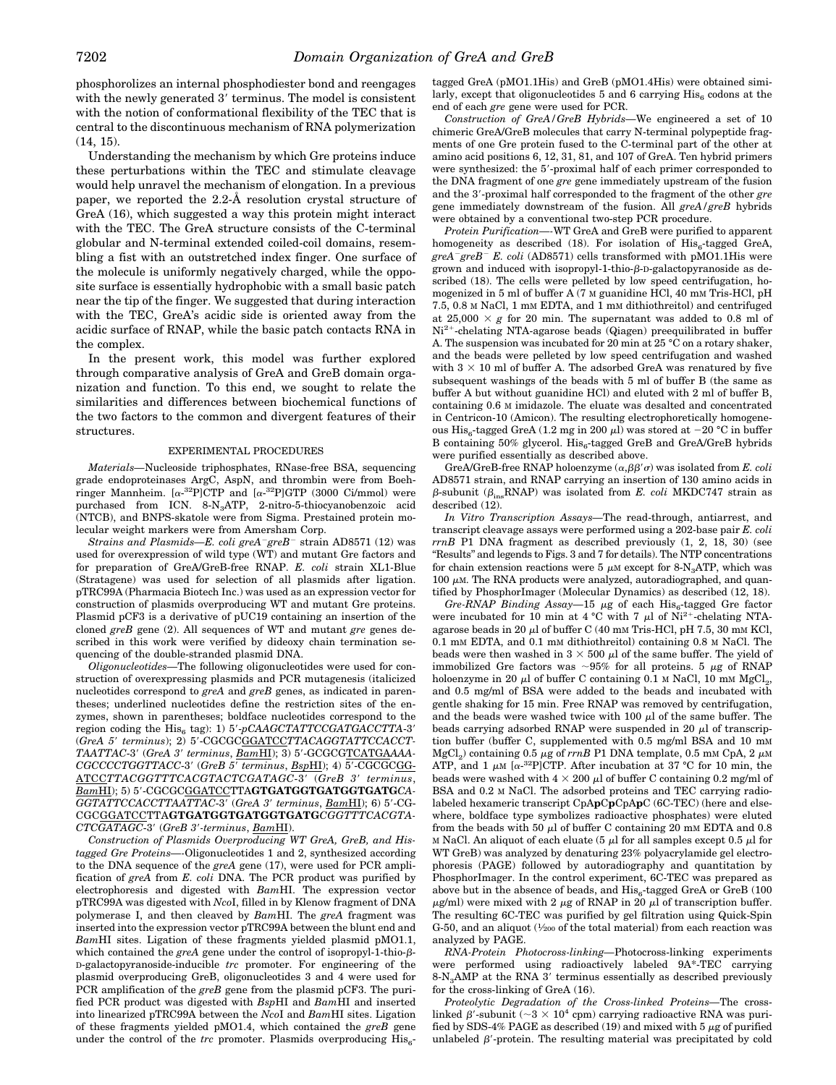phosphorolizes an internal phosphodiester bond and reengages with the newly generated 3' terminus. The model is consistent with the notion of conformational flexibility of the TEC that is central to the discontinuous mechanism of RNA polymerization (14, 15).

Understanding the mechanism by which Gre proteins induce these perturbations within the TEC and stimulate cleavage would help unravel the mechanism of elongation. In a previous paper, we reported the 2.2-Å resolution crystal structure of GreA (16), which suggested a way this protein might interact with the TEC. The GreA structure consists of the C-terminal globular and N-terminal extended coiled-coil domains, resembling a fist with an outstretched index finger. One surface of the molecule is uniformly negatively charged, while the opposite surface is essentially hydrophobic with a small basic patch near the tip of the finger. We suggested that during interaction with the TEC, GreA's acidic side is oriented away from the acidic surface of RNAP, while the basic patch contacts RNA in the complex.

In the present work, this model was further explored through comparative analysis of GreA and GreB domain organization and function. To this end, we sought to relate the similarities and differences between biochemical functions of the two factors to the common and divergent features of their structures.

### EXPERIMENTAL PROCEDURES

*Materials*—Nucleoside triphosphates, RNase-free BSA, sequencing grade endoproteinases ArgC, AspN, and thrombin were from Boehringer Mannheim.  $[\alpha^{-32}P]CTP$  and  $[\alpha^{-32}P]GTP$  (3000 Ci/mmol) were purchased from ICN. 8-N3ATP, 2-nitro-5-thiocyanobenzoic acid (NTCB), and BNPS-skatole were from Sigma. Prestained protein molecular weight markers were from Amersham Corp.

*Strains and Plasmids—E. coli greA<sup>-</sup>greB*<sup>-</sup> strain AD8571 (12) was used for overexpression of wild type (WT) and mutant Gre factors and for preparation of GreA/GreB-free RNAP. *E. coli* strain XL1-Blue (Stratagene) was used for selection of all plasmids after ligation. pTRC99A (Pharmacia Biotech Inc.) was used as an expression vector for construction of plasmids overproducing WT and mutant Gre proteins. Plasmid pCF3 is a derivative of pUC19 containing an insertion of the cloned *greB* gene (2). All sequences of WT and mutant *gre* genes described in this work were verified by dideoxy chain termination sequencing of the double-stranded plasmid DNA.

*Oligonucleotides—*The following oligonucleotides were used for construction of overexpressing plasmids and PCR mutagenesis (italicized nucleotides correspond to *greA* and *greB* genes, as indicated in parentheses; underlined nucleotides define the restriction sites of the enzymes, shown in parentheses; boldface nucleotides correspond to the region coding the His<sub>6</sub> tag): 1) 5'-pCAAGCTATTCCGATGACCTTA-3' (*GreA 5*9 *terminus*); 2) 59-CGCGCGGATCC*TTACAGGTATTCCACCT-* $TAATTAC-3'$  (GreA 3' terminus,  $\underline{BamHI}$ ); 3) 5'-GCGCGTCATGAAAA-*CGCCCCTGGTTACC-3'* (*GreB 5' terminus*, *BspHI*); 4) 5'-CGCGCGG-ATCC*TTACGGTTTCACGTACTCGATAGC*-39 (*GreB 3*9 *terminus*,  $Bam$ HI); 5) 5'-CGCGCGGATCCTTAGTGATGGTGATGGTGATGCA-*GGTATTCCACCTTAATTAC-3'* (*GreA 3' terminus*, *BamHI*); 6) 5'-CG-CGCGGATCCTTA**GTGATGGTGATGGTGATG***CGGTTTCACGTA-CTCGATAGC*-39 (*GreB 3*9*-terminus*, *Bam*HI).

*Construction of Plasmids Overproducing WT GreA, GreB, and Histagged Gre Proteins—-*Oligonucleotides 1 and 2, synthesized according to the DNA sequence of the *greA* gene (17), were used for PCR amplification of *greA* from *E. coli* DNA. The PCR product was purified by electrophoresis and digested with *Bam*HI. The expression vector pTRC99A was digested with *Nco*I, filled in by Klenow fragment of DNA polymerase I, and then cleaved by *Bam*HI. The *greA* fragment was inserted into the expression vector pTRC99A between the blunt end and *Bam*HI sites. Ligation of these fragments yielded plasmid pMO1.1, which contained the *greA* gene under the control of isopropyl-1-thio- $\beta$ -D-galactopyranoside-inducible *trc* promoter. For engineering of the plasmid overproducing GreB, oligonucleotides 3 and 4 were used for PCR amplification of the *greB* gene from the plasmid pCF3. The purified PCR product was digested with *Bsp*HI and *Bam*HI and inserted into linearized pTRC99A between the *Nco*I and *Bam*HI sites. Ligation of these fragments yielded pMO1.4, which contained the *greB* gene under the control of the *trc* promoter. Plasmids overproducing His<sub>c</sub>-

tagged GreA (pMO1.1His) and GreB (pMO1.4His) were obtained similarly, except that oligonucleotides 5 and 6 carrying  $His<sub>6</sub>$  codons at the end of each *gre* gene were used for PCR.

*Construction of GreA/GreB Hybrids—*We engineered a set of 10 chimeric GreA/GreB molecules that carry N-terminal polypeptide fragments of one Gre protein fused to the C-terminal part of the other at amino acid positions 6, 12, 31, 81, and 107 of GreA. Ten hybrid primers were synthesized: the 5'-proximal half of each primer corresponded to the DNA fragment of one *gre* gene immediately upstream of the fusion and the 3'-proximal half corresponded to the fragment of the other gre gene immediately downstream of the fusion. All *greA/greB* hybrids were obtained by a conventional two-step PCR procedure.

*Protein Purification—-*WT GreA and GreB were purified to apparent homogeneity as described (18). For isolation of  $His<sub>6</sub>$ -tagged GreA, *greA*2*greB*<sup>2</sup> *E. coli* (AD8571) cells transformed with pMO1.1His were grown and induced with isopropyl-1-thio- $\beta$ -D-galactopyranoside as described (18). The cells were pelleted by low speed centrifugation, homogenized in 5 ml of buffer A (7 M guanidine HCl, 40 mM Tris-HCl, pH 7.5, 0.8 M NaCl, 1 mM EDTA, and 1 mM dithiothreitol) and centrifuged at  $25,000 \times g$  for 20 min. The supernatant was added to 0.8 ml of  $\mathrm{Ni^{2+}}$  -chelating NTA-agarose beads (Qiagen) preequilibrated in buffer A. The suspension was incubated for 20 min at 25 °C on a rotary shaker, and the beads were pelleted by low speed centrifugation and washed with  $3 \times 10$  ml of buffer A. The adsorbed GreA was renatured by five subsequent washings of the beads with 5 ml of buffer B (the same as buffer A but without guanidine HCl) and eluted with 2 ml of buffer B, containing 0.6 M imidazole. The eluate was desalted and concentrated in Centricon-10 (Amicon). The resulting electrophoretically homogeneous His<sub>6</sub>-tagged GreA (1.2 mg in 200  $\mu$ ) was stored at -20 °C in buffer B containing 50% glycerol.  $\mathrm{His}_6\text{-tagged GreB}$  and  $\mathrm{GreA/GreB}$  hybrids were purified essentially as described above.

GreA/GreB-free RNAP holoenzyme  $(\alpha, \beta \beta' \sigma)$  was isolated from *E. coli* AD8571 strain, and RNAP carrying an insertion of 130 amino acids in  $\beta$ -subunit ( $\beta_{ins}$ RNAP) was isolated from *E. coli* MKDC747 strain as described (12).

*In Vitro Transcription Assays—*The read-through, antiarrest, and transcript cleavage assays were performed using a 202-base pair *E. coli rrnB* P1 DNA fragment as described previously (1, 2, 18, 30) (see ''Results'' and legends to Figs. 3 and 7 for details). The NTP concentrations for chain extension reactions were 5  $\mu$ M except for 8-N<sub>3</sub>ATP, which was 100  $\mu$ M. The RNA products were analyzed, autoradiographed, and quantified by PhosphorImager (Molecular Dynamics) as described (12, 18).

*Gre-RNAP Binding Assay*—15 µg of each His<sub>6</sub>-tagged Gre factor were incubated for 10 min at 4 °C with 7  $\mu$ l of Ni<sup>2+</sup>-chelating NTAagarose beads in 20  $\mu$ l of buffer C (40 mM Tris-HCl, pH 7.5, 30 mM KCl, 0.1 mM EDTA, and 0.1 mM dithiothreitol) containing 0.8 M NaCl. The beads were then washed in  $3 \times 500 \mu l$  of the same buffer. The yield of immobilized Gre factors was  $\sim 95\%$  for all proteins. 5  $\mu$ g of RNAP holoenzyme in 20  $\mu$ l of buffer C containing 0.1 M NaCl, 10 mM MgCl<sub>2</sub>, and 0.5 mg/ml of BSA were added to the beads and incubated with gentle shaking for 15 min. Free RNAP was removed by centrifugation, and the beads were washed twice with  $100 \mu l$  of the same buffer. The beads carrying adsorbed RNAP were suspended in 20  $\mu$ l of transcription buffer (buffer C, supplemented with 0.5 mg/ml BSA and 10 mM MgCl<sub>2</sub>) containing 0.5  $\mu$ g of *rrnB* P1 DNA template, 0.5 mM CpA, 2  $\mu$ M ATP, and 1  $\mu$ M [ $\alpha$ -<sup>32</sup>P]CTP. After incubation at 37 °C for 10 min, the beads were washed with  $4 \times 200 \mu$  of buffer C containing 0.2 mg/ml of BSA and 0.2 M NaCl. The adsorbed proteins and TEC carrying radiolabeled hexameric transcript CpA**p**C**p**CpA**p**C (6C-TEC) (here and elsewhere, boldface type symbolizes radioactive phosphates) were eluted from the beads with 50  $\mu$ l of buffer C containing 20 mM EDTA and 0.8 M NaCl. An aliquot of each eluate (5  $\mu$ l for all samples except 0.5  $\mu$ l for WT GreB) was analyzed by denaturing 23% polyacrylamide gel electrophoresis (PAGE) followed by autoradiography and quantitation by PhosphorImager. In the control experiment, 6C-TEC was prepared as above but in the absence of beads, and  $His<sub>6</sub>$ -tagged GreA or GreB (100  $\mu$ g/ml) were mixed with 2  $\mu$ g of RNAP in 20  $\mu$ l of transcription buffer. The resulting 6C-TEC was purified by gel filtration using Quick-Spin G-50, and an aliquot  $(\frac{1}{200}$  of the total material) from each reaction was analyzed by PAGE.

*RNA-Protein Photocross-linking—*Photocross-linking experiments were performed using radioactively labeled 9A\*-TEC carrying  $8\text{-}N_{3}$ AMP at the RNA 3' terminus essentially as described previously for the cross-linking of GreA (16).

*Proteolytic Degradation of the Cross-linked Proteins—*The crosslinked  $\beta'$  subunit (~3  $\times$   $10^4$  cpm) carrying radioactive RNA was purified by SDS-4% PAGE as described (19) and mixed with 5  $\mu$ g of purified unlabeled  $\beta'$ -protein. The resulting material was precipitated by cold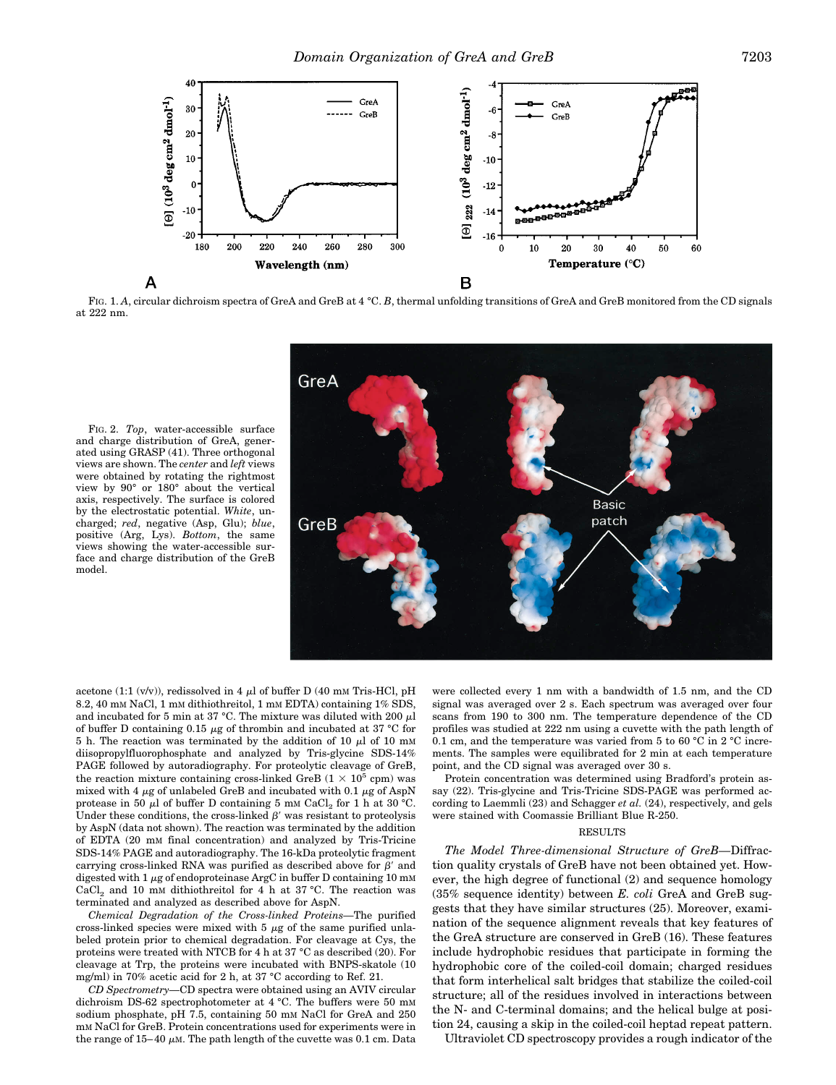

FIG. 1. A, circular dichroism spectra of GreA and GreB at 4 °C. B, thermal unfolding transitions of GreA and GreB monitored from the CD signals at 222 nm.

FIG. 2. *Top*, water-accessible surface and charge distribution of GreA, generated using GRASP (41). Three orthogonal views are shown. The *center* and *left* views were obtained by rotating the rightmost view by 90° or 180° about the vertical axis, respectively. The surface is colored by the electrostatic potential. *White*, uncharged; *red*, negative (Asp, Glu); *blue*, positive (Arg, Lys). *Bottom*, the same views showing the water-accessible surface and charge distribution of the GreB model.



acetone (1:1 (v/v)), redissolved in 4  $\mu$ l of buffer D (40 mM Tris-HCl, pH 8.2, 40 mm NaCl, 1 mm dithiothreitol, 1 mm EDTA) containing 1% SDS, and incubated for 5 min at 37 °C. The mixture was diluted with 200  $\mu$ l of buffer D containing 0.15  $\mu$ g of thrombin and incubated at 37 °C for 5 h. The reaction was terminated by the addition of 10  $\mu$ l of 10 mM diisopropylfluorophosphate and analyzed by Tris-glycine SDS-14% PAGE followed by autoradiography. For proteolytic cleavage of GreB, the reaction mixture containing cross-linked GreB ( $1 \times 10^5$  cpm) was mixed with 4  $\mu$ g of unlabeled GreB and incubated with 0.1  $\mu$ g of AspN protease in 50  $\mu$ l of buffer D containing 5 mM CaCl<sub>2</sub> for 1 h at 30 °C. Under these conditions, the cross-linked  $\beta'$  was resistant to proteolysis by AspN (data not shown). The reaction was terminated by the addition of EDTA (20 mM final concentration) and analyzed by Tris-Tricine SDS-14% PAGE and autoradiography. The 16-kDa proteolytic fragment carrying cross-linked RNA was purified as described above for  $\beta'$  and digested with  $1 \mu$ g of endoproteinase ArgC in buffer D containing 10 mM CaCl<sub>2</sub> and 10 mM dithiothreitol for 4 h at 37 °C. The reaction was terminated and analyzed as described above for AspN.

*Chemical Degradation of the Cross-linked Proteins—*The purified cross-linked species were mixed with  $5 \mu$ g of the same purified unlabeled protein prior to chemical degradation. For cleavage at Cys, the proteins were treated with NTCB for 4 h at 37 °C as described (20). For cleavage at Trp, the proteins were incubated with BNPS-skatole (10 mg/ml) in 70% acetic acid for 2 h, at 37 °C according to Ref. 21.

*CD Spectrometry—*CD spectra were obtained using an AVIV circular dichroism DS-62 spectrophotometer at 4 °C. The buffers were 50 mM sodium phosphate, pH 7.5, containing 50 mm NaCl for GreA and 250 mM NaCl for GreB. Protein concentrations used for experiments were in the range of  $15-40 \mu M$ . The path length of the cuvette was 0.1 cm. Data were collected every 1 nm with a bandwidth of 1.5 nm, and the CD signal was averaged over 2 s. Each spectrum was averaged over four scans from 190 to 300 nm. The temperature dependence of the CD profiles was studied at 222 nm using a cuvette with the path length of 0.1 cm, and the temperature was varied from 5 to 60 °C in 2 °C increments. The samples were equilibrated for 2 min at each temperature point, and the CD signal was averaged over 30 s.

Protein concentration was determined using Bradford's protein assay (22). Tris-glycine and Tris-Tricine SDS-PAGE was performed according to Laemmli (23) and Schagger *et al.* (24), respectively, and gels were stained with Coomassie Brilliant Blue R-250.

#### **RESULTS**

*The Model Three-dimensional Structure of GreB—*Diffraction quality crystals of GreB have not been obtained yet. However, the high degree of functional (2) and sequence homology (35% sequence identity) between *E. coli* GreA and GreB suggests that they have similar structures (25). Moreover, examination of the sequence alignment reveals that key features of the GreA structure are conserved in GreB (16). These features include hydrophobic residues that participate in forming the hydrophobic core of the coiled-coil domain; charged residues that form interhelical salt bridges that stabilize the coiled-coil structure; all of the residues involved in interactions between the N- and C-terminal domains; and the helical bulge at position 24, causing a skip in the coiled-coil heptad repeat pattern.

Ultraviolet CD spectroscopy provides a rough indicator of the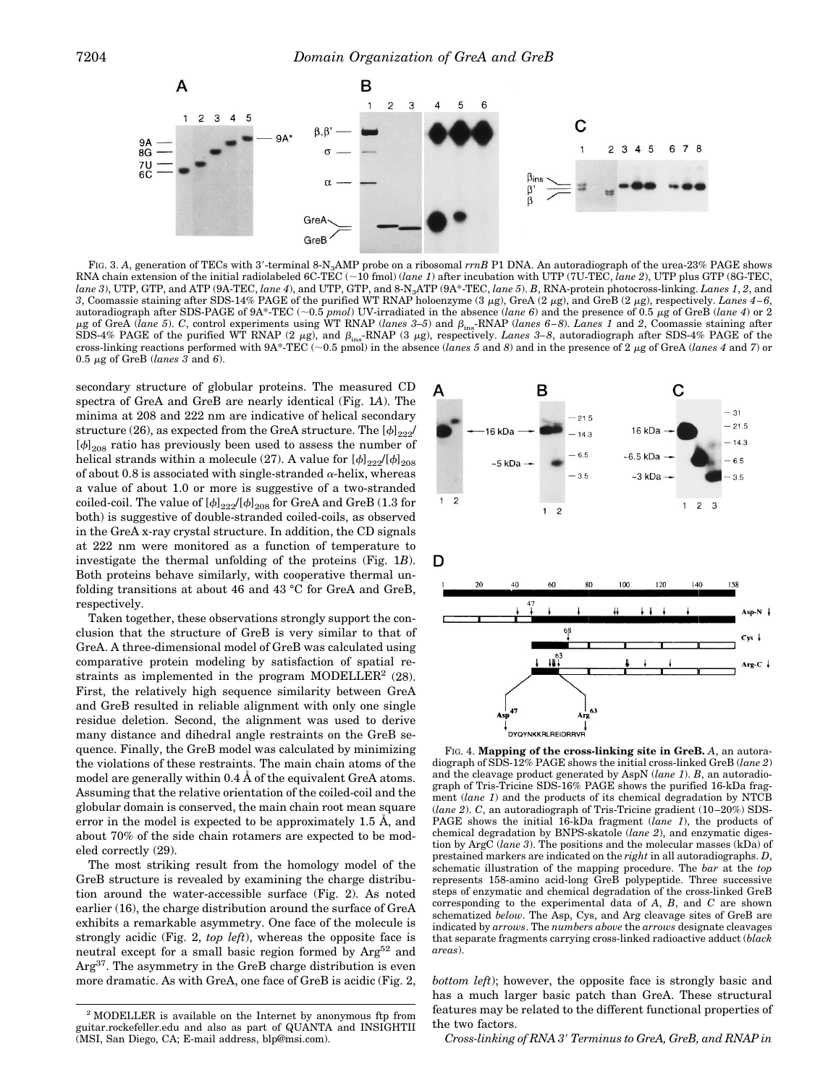

FIG. 3. A, generation of TECs with 3'-terminal 8-N<sub>3</sub>AMP probe on a ribosomal  $rrnB$  P1 DNA. An autoradiograph of the urea-23% PAGE shows RNA chain extension of the initial radiolabeled 6C-TEC (~10 fmol) (*lane 1*) after incubation with UTP (7U-TEC, *lane 2*), UTP plus GTP (8G-TEC, *lane 3*), UTP, GTP, and ATP (9A-TEC, *lane 4*), and UTP, GTP, and 8-N3ATP (9A\*-TEC, *lane 5*). *B*, RNA-protein photocross-linking. *Lanes 1*, *2*, and 3, Coomassie staining after SDS-14% PAGE of the purified WT RNAP holoenzyme (3  $\mu$ g), GreA (2  $\mu$ g), and GreB (2  $\mu$ g), respectively. *Lanes 4-6*, autoradiograph after SDS-PAGE of 9A\*-TEC (;0.5 *pmol*) UV-irradiated in the absence (*lane 6*) and the presence of 0.5 <sup>m</sup>g of GreB (*lane 4*) or 2 <sup>m</sup>g of GreA (*lane 5*). *C*, control experiments using WT RNAP (*lanes 3–5*) and bins-RNAP (*lanes 6 – 8*). *Lanes 1* and *2*, Coomassie staining after SDS-4% PAGE of the purified WT RNAP (2  $\mu$ g), and  $\beta_{ins}$ -RNAP (3  $\mu$ g), respectively. *Lanes* 3–8, autoradiograph after SDS-4% PAGE of the cross-linking reactions performed with  $9A^*TEC \sim 0.5$  pmol) in the absence (*lanes 5* and *8*) and in the presence of 2  $\mu$ g of GreA (*lanes 4* and *7*) or 0.5 <sup>m</sup>g of GreB (*lanes 3* and *6*).

secondary structure of globular proteins. The measured CD spectra of GreA and GreB are nearly identical (Fig. 1*A*). The minima at 208 and 222 nm are indicative of helical secondary structure (26), as expected from the GreA structure. The  $[\phi]_{222}$ /  $[\phi]_{208}$  ratio has previously been used to assess the number of helical strands within a molecule (27). A value for  $[\phi]_{222}/[\phi]_{208}$ of about 0.8 is associated with single-stranded  $\alpha$ -helix, whereas a value of about 1.0 or more is suggestive of a two-stranded coiled-coil. The value of  $[\phi]_{222}/[\phi]_{208}$  for GreA and GreB (1.3 for both) is suggestive of double-stranded coiled-coils, as observed in the GreA x-ray crystal structure. In addition, the CD signals at 222 nm were monitored as a function of temperature to investigate the thermal unfolding of the proteins (Fig. 1*B*). Both proteins behave similarly, with cooperative thermal unfolding transitions at about 46 and 43 °C for GreA and GreB, respectively.

Taken together, these observations strongly support the conclusion that the structure of GreB is very similar to that of GreA. A three-dimensional model of GreB was calculated using comparative protein modeling by satisfaction of spatial restraints as implemented in the program MODELLER<sup>2</sup>  $(28)$ . First, the relatively high sequence similarity between GreA and GreB resulted in reliable alignment with only one single residue deletion. Second, the alignment was used to derive many distance and dihedral angle restraints on the GreB sequence. Finally, the GreB model was calculated by minimizing the violations of these restraints. The main chain atoms of the model are generally within 0.4 Å of the equivalent GreA atoms. Assuming that the relative orientation of the coiled-coil and the globular domain is conserved, the main chain root mean square error in the model is expected to be approximately 1.5 Å, and about 70% of the side chain rotamers are expected to be modeled correctly (29).

The most striking result from the homology model of the GreB structure is revealed by examining the charge distribution around the water-accessible surface (Fig. 2). As noted earlier (16), the charge distribution around the surface of GreA exhibits a remarkable asymmetry. One face of the molecule is strongly acidic (Fig. 2, *top left*), whereas the opposite face is neutral except for a small basic region formed by  $Arg^{52}$  and Arg37. The asymmetry in the GreB charge distribution is even more dramatic. As with GreA, one face of GreB is acidic (Fig. 2, *bottom left*); however, the opposite face is strongly basic and



FIG. 4. **Mapping of the cross-linking site in GreB.** *A*, an autoradiograph of SDS-12% PAGE shows the initial cross-linked GreB (*lane 2*) and the cleavage product generated by AspN (*lane 1*). *B*, an autoradiograph of Tris-Tricine SDS-16% PAGE shows the purified 16-kDa fragment (*lane 1*) and the products of its chemical degradation by NTCB (*lane 2*). *C*, an autoradiograph of Tris-Tricine gradient (10 –20%) SDS-PAGE shows the initial 16-kDa fragment (*lane 1*), the products of chemical degradation by BNPS-skatole (*lane 2*), and enzymatic digestion by ArgC (*lane 3*). The positions and the molecular masses (kDa) of prestained markers are indicated on the *right* in all autoradiographs. *D*, schematic illustration of the mapping procedure. The *bar* at the *top* represents 158-amino acid-long GreB polypeptide. Three successive steps of enzymatic and chemical degradation of the cross-linked GreB corresponding to the experimental data of *A*, *B*, and *C* are shown schematized *below*. The Asp, Cys, and Arg cleavage sites of GreB are indicated by *arrows*. The *numbers above* the *arrows* designate cleavages that separate fragments carrying cross-linked radioactive adduct (*black areas*).

has a much larger basic patch than GreA. These structural features may be related to the different functional properties of the two factors.

*Cross-linking of RNA 3*9 *Terminus to GreA, GreB, and RNAP in*

<sup>2</sup> MODELLER is available on the Internet by anonymous ftp from guitar.rockefeller.edu and also as part of QUANTA and INSIGHTII (MSI, San Diego, CA; E-mail address, blp@msi.com).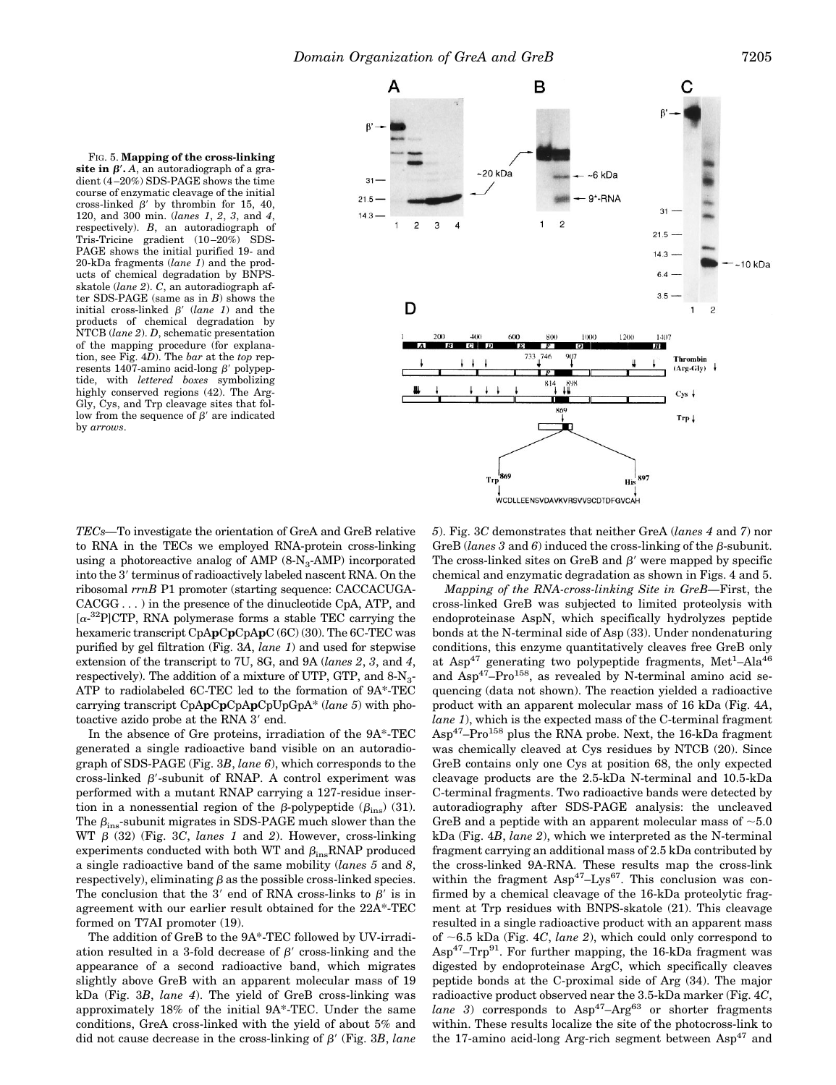FIG. 5. **Mapping of the cross-linking** site in  $\beta'$ . *A*, an autoradiograph of a gradient (4 –20%) SDS-PAGE shows the time course of enzymatic cleavage of the initial cross-linked  $\beta'$  by thrombin for 15, 40, 120, and 300 min. (*lanes 1*, *2*, *3*, and *4*, respectively). *B*, an autoradiograph of Tris-Tricine gradient (10 –20%) SDS-PAGE shows the initial purified 19- and 20-kDa fragments (*lane 1*) and the products of chemical degradation by BNPSskatole (*lane 2*). *C*, an autoradiograph after SDS-PAGE (same as in *B*) shows the initial cross-linked  $\beta'$  (*lane 1*) and the products of chemical degradation by NTCB (*lane 2*). *D*, schematic presentation of the mapping procedure (for explanation, see Fig. 4*D*). The *bar* at the *top* represents 1407-amino acid-long  $\beta'$  polypeptide, with *lettered boxes* symbolizing highly conserved regions (42). The Arg-Gly, Cys, and Trp cleavage sites that follow from the sequence of  $\beta'$  are indicated by *arrows*.



*TECs—*To investigate the orientation of GreA and GreB relative to RNA in the TECs we employed RNA-protein cross-linking using a photoreactive analog of AMP  $(8-N_3-AMP)$  incorporated into the 3' terminus of radioactively labeled nascent RNA. On the ribosomal *rrnB* P1 promoter (starting sequence: CACCACUGA-CACGG . . . ) in the presence of the dinucleotide CpA, ATP, and  $[\alpha^{-32}P]$ CTP, RNA polymerase forms a stable TEC carrying the hexameric transcript CpA**p**C**p**CpA**p**C (6C) (30). The 6C-TEC was purified by gel filtration (Fig. 3*A*, *lane 1*) and used for stepwise extension of the transcript to 7U, 8G, and 9A (*lanes 2*, *3*, and *4*, respectively). The addition of a mixture of UTP, GTP, and  $8-N<sub>3</sub>$ -ATP to radiolabeled 6C-TEC led to the formation of 9A\*-TEC carrying transcript CpA**p**C**p**CpA**p**CpUpGpA\* (*lane 5*) with photoactive azido probe at the RNA 3' end.

In the absence of Gre proteins, irradiation of the 9A\*-TEC generated a single radioactive band visible on an autoradiograph of SDS-PAGE (Fig. 3*B*, *lane 6*), which corresponds to the cross-linked  $\beta'$ -subunit of RNAP. A control experiment was performed with a mutant RNAP carrying a 127-residue insertion in a nonessential region of the  $\beta$ -polypeptide ( $\beta_{ins}$ ) (31). The  $\beta_{ins}$ -subunit migrates in SDS-PAGE much slower than the WT  $\beta$  (32) (Fig. 3*C*, *lanes 1* and 2). However, cross-linking experiments conducted with both WT and  $\beta_{ins}RNAP$  produced a single radioactive band of the same mobility (*lanes 5* and *8*, respectively), eliminating  $\beta$  as the possible cross-linked species. The conclusion that the 3' end of RNA cross-links to  $\beta'$  is in agreement with our earlier result obtained for the 22A\*-TEC formed on T7AI promoter (19).

The addition of GreB to the 9A\*-TEC followed by UV-irradiation resulted in a 3-fold decrease of  $\beta'$  cross-linking and the appearance of a second radioactive band, which migrates slightly above GreB with an apparent molecular mass of 19 kDa (Fig. 3*B*, *lane 4*). The yield of GreB cross-linking was approximately 18% of the initial 9A\*-TEC. Under the same conditions, GreA cross-linked with the yield of about 5% and did not cause decrease in the cross-linking of  $\beta'$  (Fig. 3*B*, *lane*  *5*). Fig. 3*C* demonstrates that neither GreA (*lanes 4* and *7*) nor GreB (*lanes* 3 and 6) induced the cross-linking of the  $\beta$ -subunit. The cross-linked sites on GreB and  $\beta'$  were mapped by specific chemical and enzymatic degradation as shown in Figs. 4 and 5.

*Mapping of the RNA-cross-linking Site in GreB—*First, the cross-linked GreB was subjected to limited proteolysis with endoproteinase AspN, which specifically hydrolyzes peptide bonds at the N-terminal side of Asp (33). Under nondenaturing conditions, this enzyme quantitatively cleaves free GreB only at Asp<sup>47</sup> generating two polypeptide fragments, Met<sup>1</sup>-Ala<sup>46</sup> and  $Asp^{47}-Pro^{158}$ , as revealed by N-terminal amino acid sequencing (data not shown). The reaction yielded a radioactive product with an apparent molecular mass of 16 kDa (Fig. 4*A*, *lane 1*), which is the expected mass of the C-terminal fragment  $\text{Asp}^{47}$ –Pro<sup>158</sup> plus the RNA probe. Next, the 16-kDa fragment was chemically cleaved at Cys residues by NTCB (20). Since GreB contains only one Cys at position 68, the only expected cleavage products are the 2.5-kDa N-terminal and 10.5-kDa C-terminal fragments. Two radioactive bands were detected by autoradiography after SDS-PAGE analysis: the uncleaved GreB and a peptide with an apparent molecular mass of  $\sim 5.0$ kDa (Fig. 4*B*, *lane 2*), which we interpreted as the N-terminal fragment carrying an additional mass of 2.5 kDa contributed by the cross-linked 9A-RNA. These results map the cross-link within the fragment  $Asp^{47}-Lys^{67}$ . This conclusion was confirmed by a chemical cleavage of the 16-kDa proteolytic fragment at Trp residues with BNPS-skatole (21). This cleavage resulted in a single radioactive product with an apparent mass of  $\sim$  6.5 kDa (Fig. 4*C*, *lane 2*), which could only correspond to  $\text{Asp}^{47}$ –Trp<sup>91</sup>. For further mapping, the 16-kDa fragment was digested by endoproteinase ArgC, which specifically cleaves peptide bonds at the C-proximal side of Arg (34). The major radioactive product observed near the 3.5-kDa marker (Fig. 4*C*, *lane* 3) corresponds to  $Asp^{47}-Arg^{63}$  or shorter fragments within. These results localize the site of the photocross-link to the 17-amino acid-long Arg-rich segment between  $\text{Asp}^{47}$  and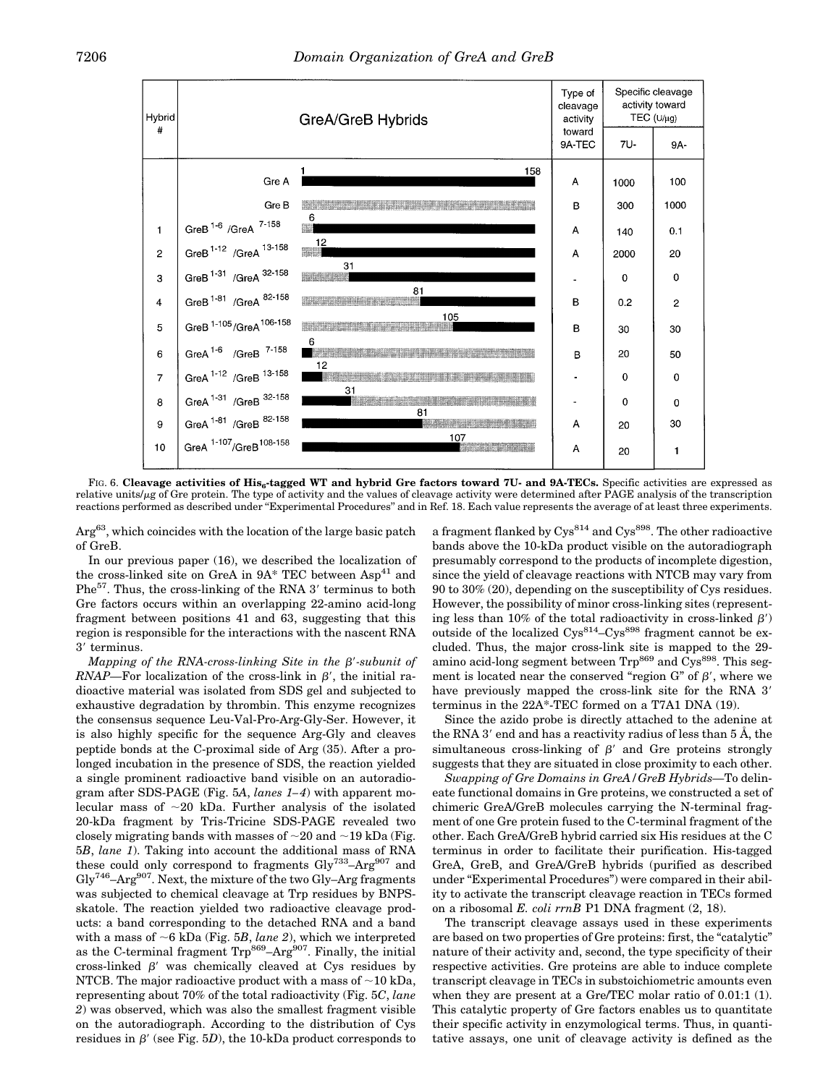

FIG. 6. Cleavage activities of His<sub>6</sub>-tagged WT and hybrid Gre factors toward 7U- and 9A-TECs. Specific activities are expressed as relative units/ $\mu$ g of Gre protein. The type of activity and the values of cleavage activity were determined after PAGE analysis of the transcription reactions performed as described under ''Experimental Procedures'' and in Ref. 18. Each value represents the average of at least three experiments.

 $Arg<sup>63</sup>$ , which coincides with the location of the large basic patch of GreB.

In our previous paper (16), we described the localization of the cross-linked site on GreA in  $9A^*$  TEC between  $Asp^{41}$  and  $Phe^{57}$ . Thus, the cross-linking of the RNA 3' terminus to both Gre factors occurs within an overlapping 22-amino acid-long fragment between positions 41 and 63, suggesting that this region is responsible for the interactions with the nascent RNA 3' terminus.

*Mapping of the RNA-cross-linking Site in the*  $\beta$ *-subunit of RNAP*—For localization of the cross-link in  $\beta'$ , the initial radioactive material was isolated from SDS gel and subjected to exhaustive degradation by thrombin. This enzyme recognizes the consensus sequence Leu-Val-Pro-Arg-Gly-Ser. However, it is also highly specific for the sequence Arg-Gly and cleaves peptide bonds at the C-proximal side of Arg (35). After a prolonged incubation in the presence of SDS, the reaction yielded a single prominent radioactive band visible on an autoradiogram after SDS-PAGE (Fig. 5*A*, *lanes 1– 4*) with apparent molecular mass of  $\sim$ 20 kDa. Further analysis of the isolated 20-kDa fragment by Tris-Tricine SDS-PAGE revealed two closely migrating bands with masses of  $\sim$ 20 and  $\sim$ 19 kDa (Fig. 5*B*, *lane 1*). Taking into account the additional mass of RNA these could only correspond to fragments  $\text{Gly}^{733}$ -Arg<sup>907</sup> and  $\text{Glv}^{746}\text{--}\text{Arg}^{907}$ . Next, the mixture of the two  $\text{Gly}-\text{Arg}$  fragments was subjected to chemical cleavage at Trp residues by BNPSskatole. The reaction yielded two radioactive cleavage products: a band corresponding to the detached RNA and a band with a mass of  $\sim$ 6 kDa (Fig. 5*B*, *lane 2*), which we interpreted as the C-terminal fragment  $\text{Trp}^{869} - \text{Arg}^{907}$ . Finally, the initial cross-linked  $\beta'$  was chemically cleaved at Cys residues by NTCB. The major radioactive product with a mass of  $\sim 10$  kDa, representing about 70% of the total radioactivity (Fig. 5*C*, *lane 2*) was observed, which was also the smallest fragment visible on the autoradiograph. According to the distribution of Cys residues in  $\beta'$  (see Fig. 5*D*), the 10-kDa product corresponds to

a fragment flanked by  $Cys^{814}$  and  $Cys^{898}$ . The other radioactive bands above the 10-kDa product visible on the autoradiograph presumably correspond to the products of incomplete digestion, since the yield of cleavage reactions with NTCB may vary from 90 to 30% (20), depending on the susceptibility of Cys residues. However, the possibility of minor cross-linking sites (representing less than 10% of the total radioactivity in cross-linked  $\beta'$ ) outside of the localized  $\text{Cys}^{814}$ – $\text{Cys}^{898}$  fragment cannot be excluded. Thus, the major cross-link site is mapped to the 29 amino acid-long segment between  $\text{Trp}^{869}$  and  $\text{Cys}^{898}$ . This segment is located near the conserved "region  $G$ " of  $\beta'$ , where we have previously mapped the cross-link site for the RNA 3' terminus in the 22A\*-TEC formed on a T7A1 DNA (19).

Since the azido probe is directly attached to the adenine at the RNA 3' end and has a reactivity radius of less than  $5 \text{ Å}$ , the simultaneous cross-linking of  $\beta'$  and Gre proteins strongly suggests that they are situated in close proximity to each other.

*Swapping of Gre Domains in GreA/GreB Hybrids—*To delineate functional domains in Gre proteins, we constructed a set of chimeric GreA/GreB molecules carrying the N-terminal fragment of one Gre protein fused to the C-terminal fragment of the other. Each GreA/GreB hybrid carried six His residues at the C terminus in order to facilitate their purification. His-tagged GreA, GreB, and GreA/GreB hybrids (purified as described under "Experimental Procedures") were compared in their ability to activate the transcript cleavage reaction in TECs formed on a ribosomal *E. coli rrnB* P1 DNA fragment (2, 18).

The transcript cleavage assays used in these experiments are based on two properties of Gre proteins: first, the "catalytic" nature of their activity and, second, the type specificity of their respective activities. Gre proteins are able to induce complete transcript cleavage in TECs in substoichiometric amounts even when they are present at a Gre/TEC molar ratio of 0.01:1 (1). This catalytic property of Gre factors enables us to quantitate their specific activity in enzymological terms. Thus, in quantitative assays, one unit of cleavage activity is defined as the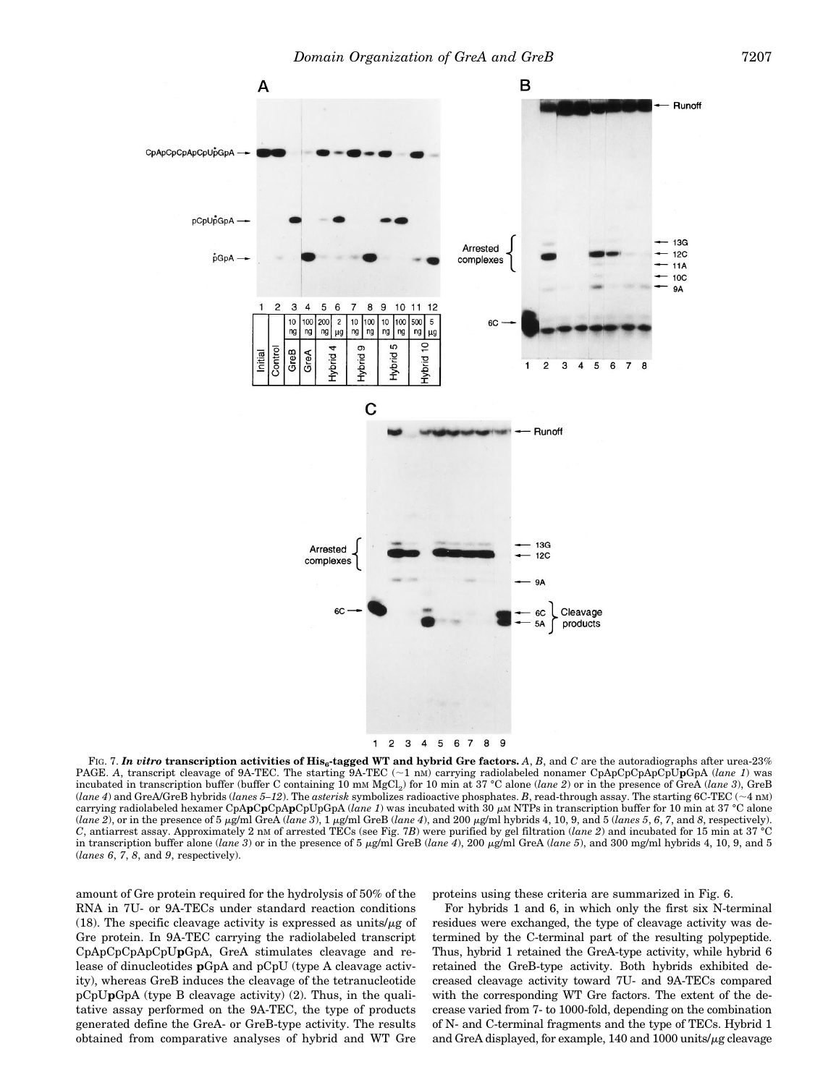

1 2 3 4 5 6 7 8 9

FIG. 7. In vitro transcription activities of His<sub>6</sub>-tagged WT and hybrid Gre factors.  $A$ ,  $B$ , and  $C$  are the autoradiographs after urea-23% PAGE. A, transcript cleavage of 9A-TEC. The starting 9A-TEC ( $\sim$ 1 nM) carrying radiolabeled nonamer CpApCpCpApCpUpGpA (*lane 1*) was incubated in transcription buffer (buffer C containing 10 mM MgCl2) for 10 min at 37 °C alone (*lane 2*) or in the presence of GreA (*lane 3*), GreB (*lane 4*) and GreA/GreB hybrids (*lanes 5–12*). The *asterisk* symbolizes radioactive phosphates. *B*, read-through assay. The starting 6C-TEC ( $\sim$ 4 nM) carrying radiolabeled hexamer CpApCpCpApCpUpGpA (*lane 1*) was incubated with 30  $\mu$ M NTPs in transcription buffer for 10 min at 37 °C alone  $(lane 2)$ , or in the presence of 5  $\mu$ g/ml GreA (*lane 3*), 1  $\mu$ g/ml GreB (*lane 4*), and 200  $\mu$ g/ml hybrids 4, 10, 9, and 5 (*lanes 5*, 6, 7, and 8, respectively). *C*, antiarrest assay. Approximately 2 nM of arrested TECs (see Fig. 7*B*) were purified by gel filtration (*lane 2*) and incubated for 15 min at 37 °C in transcription buffer alone (*lane 3*) or in the presence of 5 µg/ml GreB (*lane 4*), 200 µg/ml GreA (*lane 5*), and 300 mg/ml hybrids 4, 10, 9, and 5 (*lanes 6*, *7*, *8*, and *9*, respectively).

amount of Gre protein required for the hydrolysis of 50% of the RNA in 7U- or 9A-TECs under standard reaction conditions (18). The specific cleavage activity is expressed as units/ $\mu$ g of Gre protein. In 9A-TEC carrying the radiolabeled transcript CpApCpCpApCpU**p**GpA, GreA stimulates cleavage and release of dinucleotides **p**GpA and pCpU (type A cleavage activity), whereas GreB induces the cleavage of the tetranucleotide pCpU**p**GpA (type B cleavage activity) (2). Thus, in the qualitative assay performed on the 9A-TEC, the type of products generated define the GreA- or GreB-type activity. The results obtained from comparative analyses of hybrid and WT Gre

proteins using these criteria are summarized in Fig. 6.

For hybrids 1 and 6, in which only the first six N-terminal residues were exchanged, the type of cleavage activity was determined by the C-terminal part of the resulting polypeptide. Thus, hybrid 1 retained the GreA-type activity, while hybrid 6 retained the GreB-type activity. Both hybrids exhibited decreased cleavage activity toward 7U- and 9A-TECs compared with the corresponding WT Gre factors. The extent of the decrease varied from 7- to 1000-fold, depending on the combination of N- and C-terminal fragments and the type of TECs. Hybrid 1 and GreA displayed, for example,  $140$  and  $1000$  units/ $\mu$ g cleavage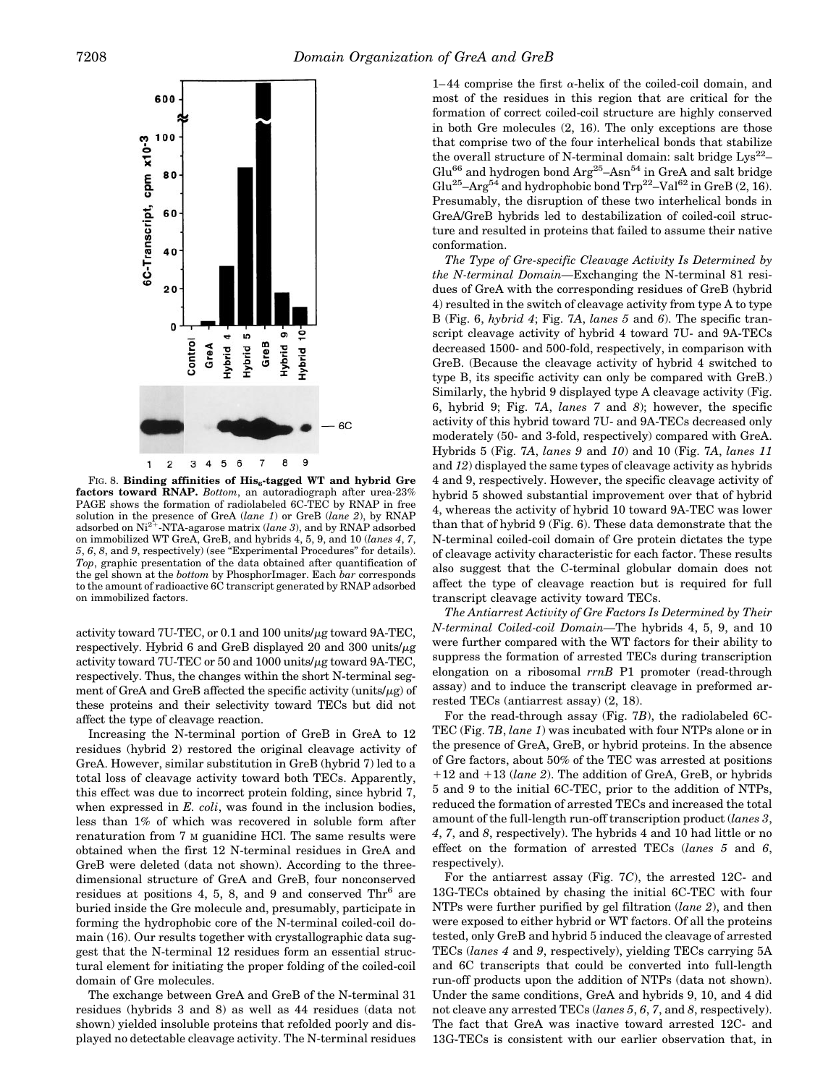

FIG. 8. **Binding affinities of His<sub>6</sub>-tagged WT and hybrid Gre factors toward RNAP.** *Bottom*, an autoradiograph after urea-23% PAGE shows the formation of radiolabeled 6C-TEC by RNAP in free solution in the presence of GreA (*lane 1*) or GreB (*lane 2*), by RNAP adsorbed on Ni<sup>2+</sup>-NTA-agarose matrix (*lane 3*), and by RNAP adsorbed on immobilized WT GreA, GreB, and hybrids 4, 5, 9, and 10 (*lanes 4*, *7*, *5*, *6*, *8*, and *9*, respectively) (see "Experimental Procedures" for details). *Top*, graphic presentation of the data obtained after quantification of the gel shown at the *bottom* by PhosphorImager. Each *bar* corresponds to the amount of radioactive 6C transcript generated by RNAP adsorbed on immobilized factors.

activity toward 7U-TEC, or 0.1 and 100 units/ $\mu$ g toward 9A-TEC, respectively. Hybrid 6 and GreB displayed 20 and 300 units/ $\mu$ g activity toward 7U-TEC or 50 and 1000 units/ $\mu$ g toward 9A-TEC, respectively. Thus, the changes within the short N-terminal segment of GreA and GreB affected the specific activity (units/ $\mu$ g) of these proteins and their selectivity toward TECs but did not affect the type of cleavage reaction.

Increasing the N-terminal portion of GreB in GreA to 12 residues (hybrid 2) restored the original cleavage activity of GreA. However, similar substitution in GreB (hybrid 7) led to a total loss of cleavage activity toward both TECs. Apparently, this effect was due to incorrect protein folding, since hybrid 7, when expressed in *E. coli*, was found in the inclusion bodies, less than 1% of which was recovered in soluble form after renaturation from 7 M guanidine HCl. The same results were obtained when the first 12 N-terminal residues in GreA and GreB were deleted (data not shown). According to the threedimensional structure of GreA and GreB, four nonconserved residues at positions 4, 5, 8, and 9 and conserved  $\text{Thr}^6$  are buried inside the Gre molecule and, presumably, participate in forming the hydrophobic core of the N-terminal coiled-coil domain (16). Our results together with crystallographic data suggest that the N-terminal 12 residues form an essential structural element for initiating the proper folding of the coiled-coil domain of Gre molecules.

The exchange between GreA and GreB of the N-terminal 31 residues (hybrids 3 and 8) as well as 44 residues (data not shown) yielded insoluble proteins that refolded poorly and displayed no detectable cleavage activity. The N-terminal residues

1–44 comprise the first  $\alpha$ -helix of the coiled-coil domain, and most of the residues in this region that are critical for the formation of correct coiled-coil structure are highly conserved in both Gre molecules (2, 16). The only exceptions are those that comprise two of the four interhelical bonds that stabilize the overall structure of N-terminal domain: salt bridge  $Lys^{22}$ -Glu<sup>66</sup> and hydrogen bond  $\text{Arg}^{25}$ – $\text{Asn}^{54}$  in GreA and salt bridge  $Glu^{25}-Arg^{54}$  and hydrophobic bond  $Trp^{22}-Val^{62}$  in  $GreB$  (2, 16). Presumably, the disruption of these two interhelical bonds in GreA/GreB hybrids led to destabilization of coiled-coil structure and resulted in proteins that failed to assume their native conformation.

*The Type of Gre-specific Cleavage Activity Is Determined by the N-terminal Domain—*Exchanging the N-terminal 81 residues of GreA with the corresponding residues of GreB (hybrid 4) resulted in the switch of cleavage activity from type A to type B (Fig. 6, *hybrid 4*; Fig. 7*A*, *lanes 5* and *6*). The specific transcript cleavage activity of hybrid 4 toward 7U- and 9A-TECs decreased 1500- and 500-fold, respectively, in comparison with GreB. (Because the cleavage activity of hybrid 4 switched to type B, its specific activity can only be compared with GreB.) Similarly, the hybrid 9 displayed type A cleavage activity (Fig. 6, hybrid 9; Fig. 7*A*, *lanes 7* and *8*); however, the specific activity of this hybrid toward 7U- and 9A-TECs decreased only moderately (50- and 3-fold, respectively) compared with GreA. Hybrids 5 (Fig. 7*A*, *lanes 9* and *10*) and 10 (Fig. 7*A*, *lanes 11* and *12*) displayed the same types of cleavage activity as hybrids 4 and 9, respectively. However, the specific cleavage activity of hybrid 5 showed substantial improvement over that of hybrid 4, whereas the activity of hybrid 10 toward 9A-TEC was lower than that of hybrid 9 (Fig. 6). These data demonstrate that the N-terminal coiled-coil domain of Gre protein dictates the type of cleavage activity characteristic for each factor. These results also suggest that the C-terminal globular domain does not affect the type of cleavage reaction but is required for full transcript cleavage activity toward TECs.

*The Antiarrest Activity of Gre Factors Is Determined by Their N-terminal Coiled-coil Domain—*The hybrids 4, 5, 9, and 10 were further compared with the WT factors for their ability to suppress the formation of arrested TECs during transcription elongation on a ribosomal *rrnB* P1 promoter (read-through assay) and to induce the transcript cleavage in preformed arrested TECs (antiarrest assay) (2, 18).

For the read-through assay (Fig. 7*B*), the radiolabeled 6C-TEC (Fig. 7*B*, *lane 1*) was incubated with four NTPs alone or in the presence of GreA, GreB, or hybrid proteins. In the absence of Gre factors, about 50% of the TEC was arrested at positions 112 and 113 (*lane 2*). The addition of GreA, GreB, or hybrids 5 and 9 to the initial 6C-TEC, prior to the addition of NTPs, reduced the formation of arrested TECs and increased the total amount of the full-length run-off transcription product (*lanes 3*, *4*, *7*, and *8*, respectively). The hybrids 4 and 10 had little or no effect on the formation of arrested TECs (*lanes 5* and *6*, respectively).

For the antiarrest assay (Fig. 7*C*), the arrested 12C- and 13G-TECs obtained by chasing the initial 6C-TEC with four NTPs were further purified by gel filtration (*lane 2*), and then were exposed to either hybrid or WT factors. Of all the proteins tested, only GreB and hybrid 5 induced the cleavage of arrested TECs (*lanes 4* and *9*, respectively), yielding TECs carrying 5A and 6C transcripts that could be converted into full-length run-off products upon the addition of NTPs (data not shown). Under the same conditions, GreA and hybrids 9, 10, and 4 did not cleave any arrested TECs (*lanes 5*, *6*, *7*, and *8*, respectively). The fact that GreA was inactive toward arrested 12C- and 13G-TECs is consistent with our earlier observation that, in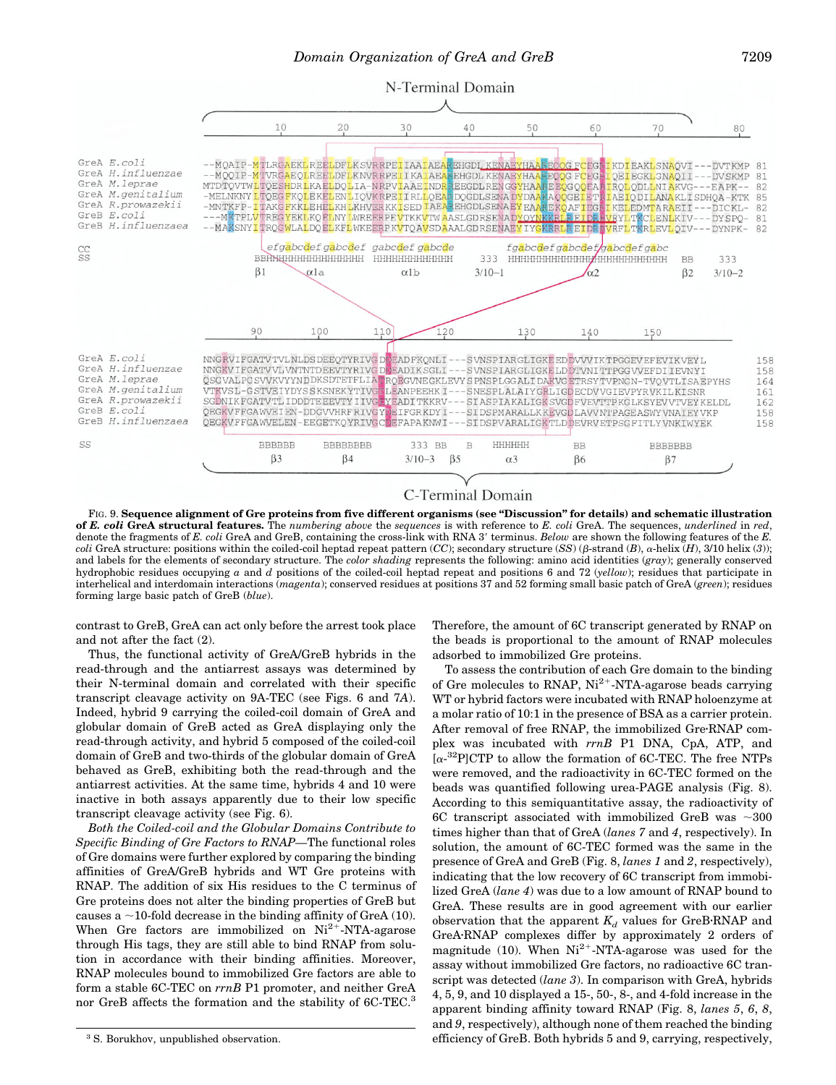

C-Terminal Domain

FIG. 9. Sequence alignment of Gre proteins from five different organisms (see "Discussion" for details) and schematic illustration **of** *E. coli* **GreA structural features.** The *numbering above* the *sequences* is with reference to *E. coli* GreA. The sequences, *underlined* in *red*, denote the fragments of *E. coli* GreA and GreB, containing the cross-link with RNA 3' terminus. *Below* are shown the following features of the *E*. *coli* GreA structure: positions within the coiled-coil heptad repeat pattern (*CC*); secondary structure (*SS*) ( $\beta$ -strand (*B*),  $\alpha$ -helix (*H*), 3/10 helix (3)); and labels for the elements of secondary structure. The *color shading* represents the following: amino acid identities (*gray*); generally conserved hydrophobic residues occupying *a* and *d* positions of the coiled-coil heptad repeat and positions 6 and 72 (*yellow*); residues that participate in interhelical and interdomain interactions (*magenta*); conserved residues at positions 37 and 52 forming small basic patch of GreA (*green*); residues forming large basic patch of GreB (*blue*).

contrast to GreB, GreA can act only before the arrest took place and not after the fact (2).

Thus, the functional activity of GreA/GreB hybrids in the read-through and the antiarrest assays was determined by their N-terminal domain and correlated with their specific transcript cleavage activity on 9A-TEC (see Figs. 6 and 7*A*). Indeed, hybrid 9 carrying the coiled-coil domain of GreA and globular domain of GreB acted as GreA displaying only the read-through activity, and hybrid 5 composed of the coiled-coil domain of GreB and two-thirds of the globular domain of GreA behaved as GreB, exhibiting both the read-through and the antiarrest activities. At the same time, hybrids 4 and 10 were inactive in both assays apparently due to their low specific transcript cleavage activity (see Fig. 6).

*Both the Coiled-coil and the Globular Domains Contribute to Specific Binding of Gre Factors to RNAP—*The functional roles of Gre domains were further explored by comparing the binding affinities of GreA/GreB hybrids and WT Gre proteins with RNAP. The addition of six His residues to the C terminus of Gre proteins does not alter the binding properties of GreB but causes a  $\sim$ 10-fold decrease in the binding affinity of GreA (10). When Gre factors are immobilized on  $Ni<sup>2+</sup> - NTA$ -agarose through His tags, they are still able to bind RNAP from solution in accordance with their binding affinities. Moreover, RNAP molecules bound to immobilized Gre factors are able to form a stable 6C-TEC on *rrnB* P1 promoter, and neither GreA nor GreB affects the formation and the stability of 6C-TEC.<sup>3</sup>

Therefore, the amount of 6C transcript generated by RNAP on the beads is proportional to the amount of RNAP molecules adsorbed to immobilized Gre proteins.

To assess the contribution of each Gre domain to the binding of Gre molecules to RNAP,  $Ni^{2+}$ -NTA-agarose beads carrying WT or hybrid factors were incubated with RNAP holoenzyme at a molar ratio of 10:1 in the presence of BSA as a carrier protein. After removal of free RNAP, the immobilized Gre·RNAP complex was incubated with *rrnB* P1 DNA, CpA, ATP, and [a-32P]CTP to allow the formation of 6C-TEC. The free NTPs were removed, and the radioactivity in 6C-TEC formed on the beads was quantified following urea-PAGE analysis (Fig. 8). According to this semiquantitative assay, the radioactivity of 6C transcript associated with immobilized GreB was  $\sim$ 300 times higher than that of GreA (*lanes 7* and *4*, respectively). In solution, the amount of 6C-TEC formed was the same in the presence of GreA and GreB (Fig. 8, *lanes 1* and *2*, respectively), indicating that the low recovery of 6C transcript from immobilized GreA (*lane 4*) was due to a low amount of RNAP bound to GreA. These results are in good agreement with our earlier observation that the apparent  $K_d$  values for GreB·RNAP and GreA·RNAP complexes differ by approximately 2 orders of magnitude (10). When  $Ni^{2+}$ -NTA-agarose was used for the assay without immobilized Gre factors, no radioactive 6C transcript was detected (*lane 3*). In comparison with GreA, hybrids 4, 5, 9, and 10 displayed a 15-, 50-, 8-, and 4-fold increase in the apparent binding affinity toward RNAP (Fig. 8, *lanes 5*, *6*, *8*, and *9*, respectively), although none of them reached the binding <sup>3</sup> S. Borukhov, unpublished observation.  $\bullet$  **setupned in the efficiency of GreB.** Both hybrids 5 and 9, carrying, respectively,